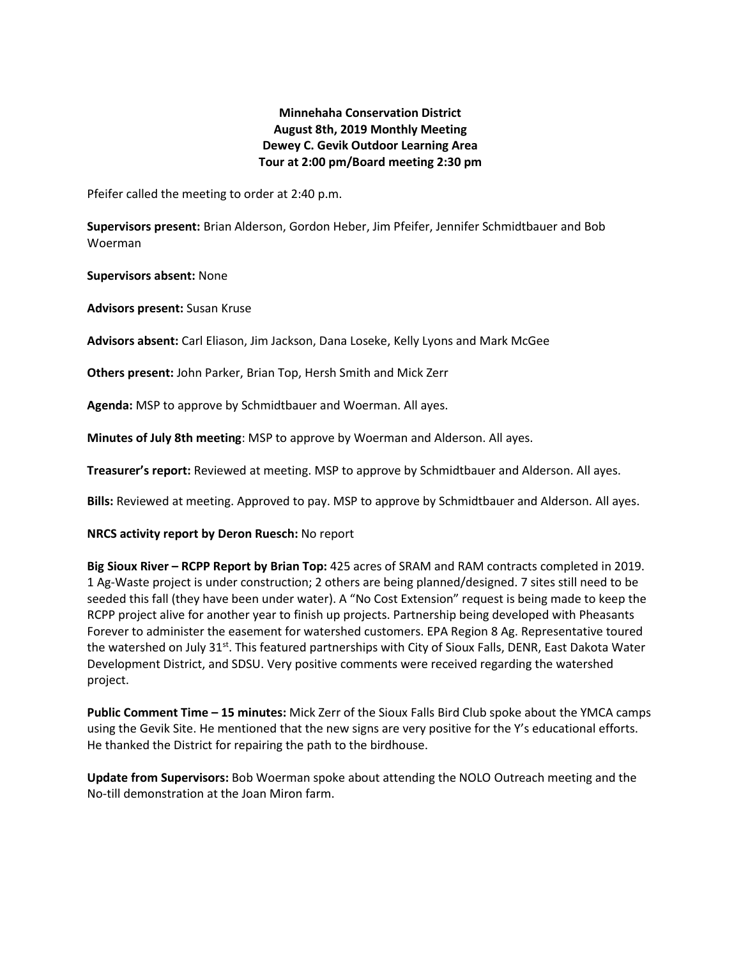# **Minnehaha Conservation District August 8th, 2019 Monthly Meeting Dewey C. Gevik Outdoor Learning Area Tour at 2:00 pm/Board meeting 2:30 pm**

Pfeifer called the meeting to order at 2:40 p.m.

**Supervisors present:** Brian Alderson, Gordon Heber, Jim Pfeifer, Jennifer Schmidtbauer and Bob Woerman

**Supervisors absent:** None

**Advisors present:** Susan Kruse

**Advisors absent:** Carl Eliason, Jim Jackson, Dana Loseke, Kelly Lyons and Mark McGee

**Others present:** John Parker, Brian Top, Hersh Smith and Mick Zerr

**Agenda:** MSP to approve by Schmidtbauer and Woerman. All ayes.

**Minutes of July 8th meeting**: MSP to approve by Woerman and Alderson. All ayes.

**Treasurer's report:** Reviewed at meeting. MSP to approve by Schmidtbauer and Alderson. All ayes.

**Bills:** Reviewed at meeting. Approved to pay. MSP to approve by Schmidtbauer and Alderson. All ayes.

#### **NRCS activity report by Deron Ruesch:** No report

**Big Sioux River – RCPP Report by Brian Top:** 425 acres of SRAM and RAM contracts completed in 2019. 1 Ag-Waste project is under construction; 2 others are being planned/designed. 7 sites still need to be seeded this fall (they have been under water). A "No Cost Extension" request is being made to keep the RCPP project alive for another year to finish up projects. Partnership being developed with Pheasants Forever to administer the easement for watershed customers. EPA Region 8 Ag. Representative toured the watershed on July 31<sup>st</sup>. This featured partnerships with City of Sioux Falls, DENR, East Dakota Water Development District, and SDSU. Very positive comments were received regarding the watershed project.

**Public Comment Time – 15 minutes:** Mick Zerr of the Sioux Falls Bird Club spoke about the YMCA camps using the Gevik Site. He mentioned that the new signs are very positive for the Y's educational efforts. He thanked the District for repairing the path to the birdhouse.

**Update from Supervisors:** Bob Woerman spoke about attending the NOLO Outreach meeting and the No-till demonstration at the Joan Miron farm.